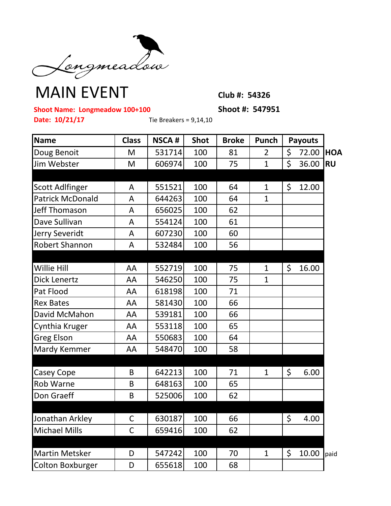

## **MAIN EVENT** Club #: 54326

**Shoot Name: Longmeadow 100+100 Shoot #: 547951** 

**Date: 10/21/17** Tie Breakers = 9,14,10

| Name                    | <b>Class</b> | <b>NSCA#</b> | <b>Shot</b> | <b>Broke</b> | Punch          | <b>Payouts</b> |           |           |  |
|-------------------------|--------------|--------------|-------------|--------------|----------------|----------------|-----------|-----------|--|
| Doug Benoit             | M            | 531714       | 100         | 81           | $\overline{2}$ | \$             | 72.00 HOA |           |  |
| Jim Webster             | M            | 606974       | 100         | 75           | $\mathbf{1}$   | \$             | 36.00     | <b>RU</b> |  |
|                         |              |              |             |              |                |                |           |           |  |
| <b>Scott Adlfinger</b>  | A            | 551521       | 100         | 64           | $\mathbf{1}$   | \$             | 12.00     |           |  |
| <b>Patrick McDonald</b> | A            | 644263       | 100         | 64           | $\mathbf{1}$   |                |           |           |  |
| Jeff Thomason           | A            | 656025       | 100         | 62           |                |                |           |           |  |
| Dave Sullivan           | A            | 554124       | 100         | 61           |                |                |           |           |  |
| Jerry Severidt          | Α            | 607230       | 100         | 60           |                |                |           |           |  |
| <b>Robert Shannon</b>   | A            | 532484       | 100         | 56           |                |                |           |           |  |
|                         |              |              |             |              |                |                |           |           |  |
| Willie Hill             | AA           | 552719       | 100         | 75           | $\mathbf{1}$   | \$             | 16.00     |           |  |
| <b>Dick Lenertz</b>     | AA           | 546250       | 100         | 75           | $\mathbf{1}$   |                |           |           |  |
| Pat Flood               | AA           | 618198       | 100         | 71           |                |                |           |           |  |
| <b>Rex Bates</b>        | AA           | 581430       | 100         | 66           |                |                |           |           |  |
| David McMahon           | AA           | 539181       | 100         | 66           |                |                |           |           |  |
| Cynthia Kruger          | AA           | 553118       | 100         | 65           |                |                |           |           |  |
| <b>Greg Elson</b>       | AA           | 550683       | 100         | 64           |                |                |           |           |  |
| Mardy Kemmer            | AA           | 548470       | 100         | 58           |                |                |           |           |  |
|                         |              |              |             |              |                |                |           |           |  |
| Casey Cope              | B            | 642213       | 100         | 71           | $\mathbf{1}$   | \$             | 6.00      |           |  |
| <b>Rob Warne</b>        | B            | 648163       | 100         | 65           |                |                |           |           |  |
| Don Graeff              | B            | 525006       | 100         | 62           |                |                |           |           |  |
|                         |              |              |             |              |                |                |           |           |  |
| Jonathan Arkley         | $\mathsf C$  | 630187       | 100         | 66           |                | $\zeta$        | 4.00      |           |  |
| <b>Michael Mills</b>    | C            | 659416       | 100         | 62           |                |                |           |           |  |
|                         |              |              |             |              |                |                |           |           |  |
| <b>Martin Metsker</b>   | D            | 547242       | 100         | 70           | $\mathbf{1}$   | \$             | 10.00     | paid      |  |
| <b>Colton Boxburger</b> | D            | 655618       | 100         | 68           |                |                |           |           |  |